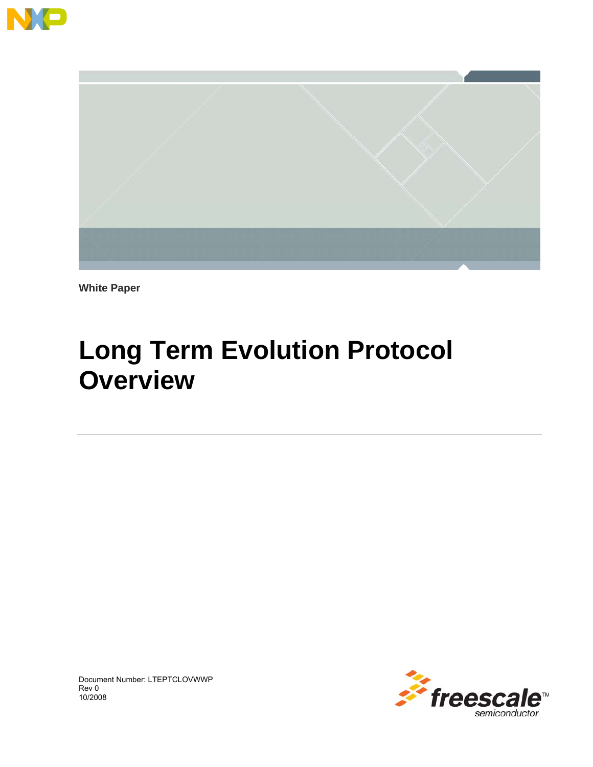



**White Paper** 

# **Long Term Evolution Protocol Overview**



Document Number: LTEPTCLOVWWP Rev 0 10/2008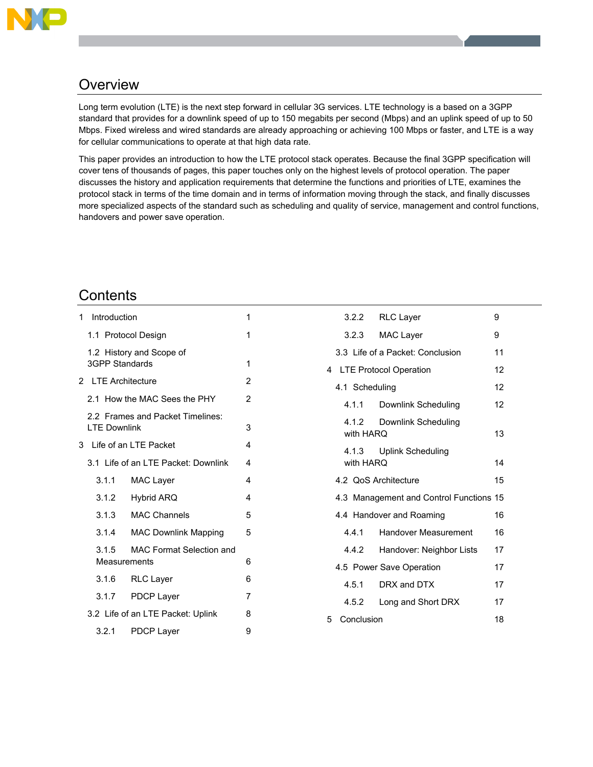

# **Overview**

Long term evolution (LTE) is the next step forward in cellular 3G services. LTE technology is a based on a 3GPP standard that provides for a downlink speed of up to 150 megabits per second (Mbps) and an uplink speed of up to 50 Mbps. Fixed wireless and wired standards are already approaching or achieving 100 Mbps or faster, and LTE is a way for cellular communications to operate at that high data rate.

This paper provides an introduction to how the LTE protocol stack operates. Because the final 3GPP specification will cover tens of thousands of pages, this paper touches only on the highest levels of protocol operation. The paper discusses the history and application requirements that determine the functions and priorities of LTE, examines the protocol stack in terms of the time domain and in terms of information moving through the stack, and finally discusses more specialized aspects of the standard such as scheduling and quality of service, management and control functions, handovers and power save operation.

# **Contents**

| 1                                 | Introduction                                             |                                                          |                                     |                |  |  |
|-----------------------------------|----------------------------------------------------------|----------------------------------------------------------|-------------------------------------|----------------|--|--|
|                                   |                                                          |                                                          | 1.1 Protocol Design                 | 1              |  |  |
|                                   |                                                          | <b>3GPP Standards</b>                                    | 1.2 History and Scope of            | 1              |  |  |
|                                   |                                                          |                                                          | 2 LTE Architecture                  | $\overline{2}$ |  |  |
|                                   |                                                          |                                                          | 2.1 How the MAC Sees the PHY        | $\overline{2}$ |  |  |
|                                   |                                                          | 2.2 Frames and Packet Timelines:<br><b>I TF Downlink</b> |                                     |                |  |  |
| 3                                 |                                                          |                                                          | Life of an LTE Packet               | 4              |  |  |
|                                   |                                                          |                                                          | 3.1 Life of an LTE Packet: Downlink | 4              |  |  |
|                                   |                                                          | 3.1.1                                                    | <b>MAC Layer</b>                    | 4              |  |  |
|                                   |                                                          | 3.1.2                                                    | <b>Hybrid ARQ</b>                   | 4              |  |  |
|                                   |                                                          | 3.1.3                                                    | <b>MAC Channels</b>                 | 5              |  |  |
|                                   |                                                          | 3.1.4                                                    | <b>MAC Downlink Mapping</b>         | 5              |  |  |
|                                   | <b>MAC Format Selection and</b><br>3.1.5<br>Measurements |                                                          |                                     |                |  |  |
|                                   |                                                          | 3.1.6                                                    | <b>RLC Layer</b>                    | 6              |  |  |
|                                   |                                                          | 3.1.7                                                    | <b>PDCP Layer</b>                   | 7              |  |  |
| 3.2 Life of an LTE Packet: Uplink |                                                          |                                                          |                                     |                |  |  |
|                                   |                                                          | 3.2.1                                                    | <b>PDCP Layer</b>                   | 9              |  |  |

|   |                                         | 3.2.2 RLC Layer                  | 9  |
|---|-----------------------------------------|----------------------------------|----|
|   | 3.2.3                                   | <b>MAC Layer</b>                 | 9  |
|   |                                         | 3.3 Life of a Packet: Conclusion | 11 |
|   |                                         | 4 LTE Protocol Operation         | 12 |
|   | 4.1 Scheduling                          |                                  | 12 |
|   |                                         | 4.1.1 Downlink Scheduling        | 12 |
|   | with HARO                               | 4.1.2 Downlink Scheduling        | 13 |
|   | with HARO                               | 4.1.3 Uplink Scheduling          | 14 |
|   |                                         | 4.2 QoS Architecture             | 15 |
|   | 4.3 Management and Control Functions 15 |                                  |    |
|   |                                         | 4.4 Handover and Roaming         | 16 |
|   |                                         | 4.4.1 Handover Measurement       | 16 |
|   | 4.4.2                                   | Handover: Neighbor Lists         | 17 |
|   |                                         | 4.5 Power Save Operation         | 17 |
|   |                                         | 4.5.1 DRX and DTX                | 17 |
|   |                                         | 4.5.2 Long and Short DRX         | 17 |
| 5 | Conclusion                              |                                  | 18 |
|   |                                         |                                  |    |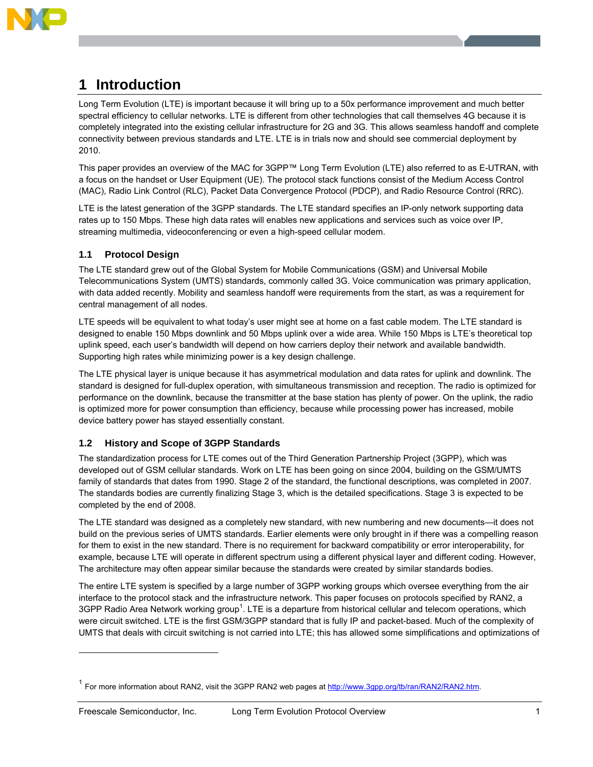

# **1 Introduction**

Long Term Evolution (LTE) is important because it will bring up to a 50x performance improvement and much better spectral efficiency to cellular networks. LTE is different from other technologies that call themselves 4G because it is completely integrated into the existing cellular infrastructure for 2G and 3G. This allows seamless handoff and complete connectivity between previous standards and LTE. LTE is in trials now and should see commercial deployment by 2010.

This paper provides an overview of the MAC for 3GPP™ Long Term Evolution (LTE) also referred to as E-UTRAN, with a focus on the handset or User Equipment (UE). The protocol stack functions consist of the Medium Access Control (MAC), Radio Link Control (RLC), Packet Data Convergence Protocol (PDCP), and Radio Resource Control (RRC).

LTE is the latest generation of the 3GPP standards. The LTE standard specifies an IP-only network supporting data rates up to 150 Mbps. These high data rates will enables new applications and services such as voice over IP, streaming multimedia, videoconferencing or even a high-speed cellular modem.

# **1.1 Protocol Design**

The LTE standard grew out of the Global System for Mobile Communications (GSM) and Universal Mobile Telecommunications System (UMTS) standards, commonly called 3G. Voice communication was primary application, with data added recently. Mobility and seamless handoff were requirements from the start, as was a requirement for central management of all nodes.

LTE speeds will be equivalent to what today's user might see at home on a fast cable modem. The LTE standard is designed to enable 150 Mbps downlink and 50 Mbps uplink over a wide area. While 150 Mbps is LTE's theoretical top uplink speed, each user's bandwidth will depend on how carriers deploy their network and available bandwidth. Supporting high rates while minimizing power is a key design challenge.

The LTE physical layer is unique because it has asymmetrical modulation and data rates for uplink and downlink. The standard is designed for full-duplex operation, with simultaneous transmission and reception. The radio is optimized for performance on the downlink, because the transmitter at the base station has plenty of power. On the uplink, the radio is optimized more for power consumption than efficiency, because while processing power has increased, mobile device battery power has stayed essentially constant.

# **1.2 History and Scope of 3GPP Standards**

The standardization process for LTE comes out of the Third Generation Partnership Project (3GPP), which was developed out of GSM cellular standards. Work on LTE has been going on since 2004, building on the GSM/UMTS family of standards that dates from 1990. Stage 2 of the standard, the functional descriptions, was completed in 2007. The standards bodies are currently finalizing Stage 3, which is the detailed specifications. Stage 3 is expected to be completed by the end of 2008.

The LTE standard was designed as a completely new standard, with new numbering and new documents—it does not build on the previous series of UMTS standards. Earlier elements were only brought in if there was a compelling reason for them to exist in the new standard. There is no requirement for backward compatibility or error interoperability, for example, because LTE will operate in different spectrum using a different physical layer and different coding. However, The architecture may often appear similar because the standards were created by similar standards bodies.

The entire LTE system is specified by a large number of 3GPP working groups which oversee everything from the air interface to the protocol stack and the infrastructure network. This paper focuses on protocols specified by RAN2, a 3GPP Radio Area Network working group<sup>1</sup>. LTE is a departure from historical cellular and telecom operations, which were circuit switched. LTE is the first GSM/3GPP standard that is fully IP and packet-based. Much of the complexity of UMTS that deals with circuit switching is not carried into LTE; this has allowed some simplifications and optimizations of

-

<sup>&</sup>lt;sup>1</sup> For more information about RAN2, visit the 3GPP RAN2 web pages at http://www.3gpp.org/tb/ran/RAN2/RAN2.htm.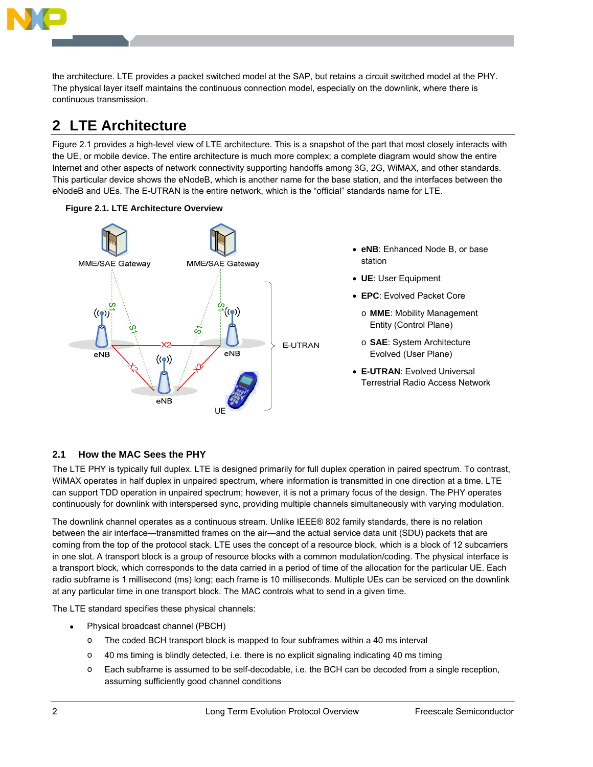

the architecture. LTE provides a packet switched model at the SAP, but retains a circuit switched model at the PHY. The physical layer itself maintains the continuous connection model, especially on the downlink, where there is continuous transmission.

# **2 LTE Architecture**

Figure 2.1 provides a high-level view of LTE architecture. This is a snapshot of the part that most closely interacts with the UE, or mobile device. The entire architecture is much more complex; a complete diagram would show the entire Internet and other aspects of network connectivity supporting handoffs among 3G, 2G, WiMAX, and other standards. This particular device shows the eNodeB, which is another name for the base station, and the interfaces between the eNodeB and UEs. The E-UTRAN is the entire network, which is the "official" standards name for LTE.





- **eNB**: Enhanced Node B, or base station
- **UE**: User Equipment
- **EPC**: Evolved Packet Core
	- o **MME**: Mobility Management Entity (Control Plane)
	- o **SAE**: System Architecture Evolved (User Plane)
- **E-UTRAN**: Evolved Universal Terrestrial Radio Access Network

# **2.1 How the MAC Sees the PHY**

The LTE PHY is typically full duplex. LTE is designed primarily for full duplex operation in paired spectrum. To contrast, WiMAX operates in half duplex in unpaired spectrum, where information is transmitted in one direction at a time. LTE can support TDD operation in unpaired spectrum; however, it is not a primary focus of the design. The PHY operates continuously for downlink with interspersed sync, providing multiple channels simultaneously with varying modulation.

The downlink channel operates as a continuous stream. Unlike IEEE® 802 family standards, there is no relation between the air interface—transmitted frames on the air—and the actual service data unit (SDU) packets that are coming from the top of the protocol stack. LTE uses the concept of a resource block, which is a block of 12 subcarriers in one slot. A transport block is a group of resource blocks with a common modulation/coding. The physical interface is a transport block, which corresponds to the data carried in a period of time of the allocation for the particular UE. Each radio subframe is 1 millisecond (ms) long; each frame is 10 milliseconds. Multiple UEs can be serviced on the downlink at any particular time in one transport block. The MAC controls what to send in a given time.

The LTE standard specifies these physical channels:

- Physical broadcast channel (PBCH)
	- o The coded BCH transport block is mapped to four subframes within a 40 ms interval
	- $\circ$  40 ms timing is blindly detected, i.e. there is no explicit signaling indicating 40 ms timing
	- o Each subframe is assumed to be self-decodable, i.e. the BCH can be decoded from a single reception, assuming sufficiently good channel conditions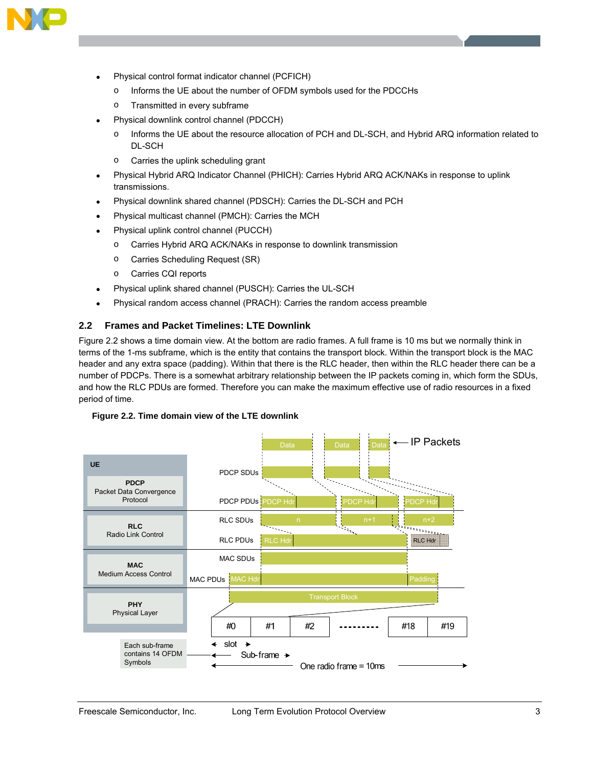

- Physical control format indicator channel (PCFICH)
	- o Informs the UE about the number of OFDM symbols used for the PDCCHs
	- o Transmitted in every subframe
- Physical downlink control channel (PDCCH)
	- o Informs the UE about the resource allocation of PCH and DL-SCH, and Hybrid ARQ information related to DL-SCH
	- o Carries the uplink scheduling grant
- Physical Hybrid ARQ Indicator Channel (PHICH): Carries Hybrid ARQ ACK/NAKs in response to uplink transmissions.
- Physical downlink shared channel (PDSCH): Carries the DL-SCH and PCH
- Physical multicast channel (PMCH): Carries the MCH
- Physical uplink control channel (PUCCH)
	- o Carries Hybrid ARQ ACK/NAKs in response to downlink transmission
	- o Carries Scheduling Request (SR)
	- o Carries CQI reports
- Physical uplink shared channel (PUSCH): Carries the UL-SCH
- Physical random access channel (PRACH): Carries the random access preamble

# **2.2 Frames and Packet Timelines: LTE Downlink**

Figure 2.2 shows a time domain view. At the bottom are radio frames. A full frame is 10 ms but we normally think in terms of the 1-ms subframe, which is the entity that contains the transport block. Within the transport block is the MAC header and any extra space (padding). Within that there is the RLC header, then within the RLC header there can be a number of PDCPs. There is a somewhat arbitrary relationship between the IP packets coming in, which form the SDUs, and how the RLC PDUs are formed. Therefore you can make the maximum effective use of radio resources in a fixed period of time.

#### **Figure 2.2. Time domain view of the LTE downlink**

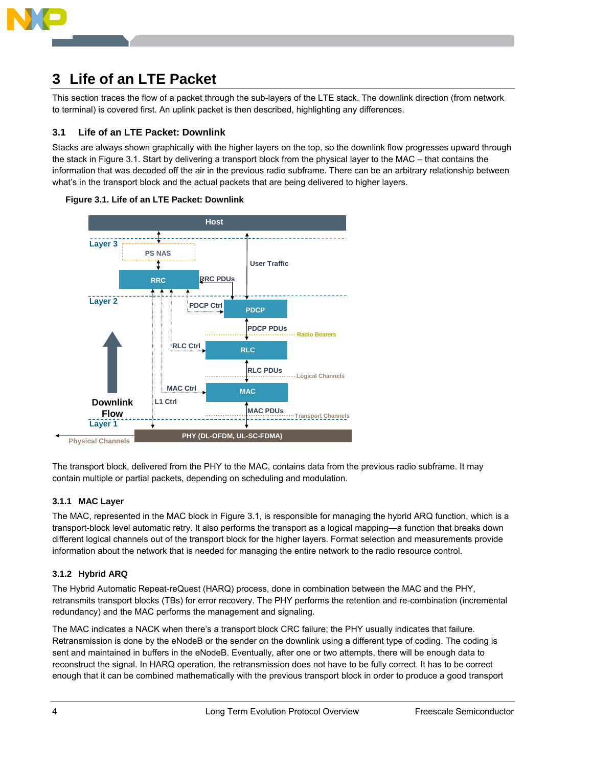

# **3 Life of an LTE Packet**

This section traces the flow of a packet through the sub-layers of the LTE stack. The downlink direction (from network to terminal) is covered first. An uplink packet is then described, highlighting any differences.

# **3.1 Life of an LTE Packet: Downlink**

Stacks are always shown graphically with the higher layers on the top, so the downlink flow progresses upward through the stack in Figure 3.1. Start by delivering a transport block from the physical layer to the MAC – that contains the information that was decoded off the air in the previous radio subframe. There can be an arbitrary relationship between what's in the transport block and the actual packets that are being delivered to higher layers.





The transport block, delivered from the PHY to the MAC, contains data from the previous radio subframe. It may contain multiple or partial packets, depending on scheduling and modulation.

# **3.1.1 MAC Layer**

The MAC, represented in the MAC block in Figure 3.1, is responsible for managing the hybrid ARQ function, which is a transport-block level automatic retry. It also performs the transport as a logical mapping—a function that breaks down different logical channels out of the transport block for the higher layers. Format selection and measurements provide information about the network that is needed for managing the entire network to the radio resource control.

# **3.1.2 Hybrid ARQ**

The Hybrid Automatic Repeat-reQuest (HARQ) process, done in combination between the MAC and the PHY, retransmits transport blocks (TBs) for error recovery. The PHY performs the retention and re-combination (incremental redundancy) and the MAC performs the management and signaling.

The MAC indicates a NACK when there's a transport block CRC failure; the PHY usually indicates that failure. Retransmission is done by the eNodeB or the sender on the downlink using a different type of coding. The coding is sent and maintained in buffers in the eNodeB. Eventually, after one or two attempts, there will be enough data to reconstruct the signal. In HARQ operation, the retransmission does not have to be fully correct. It has to be correct enough that it can be combined mathematically with the previous transport block in order to produce a good transport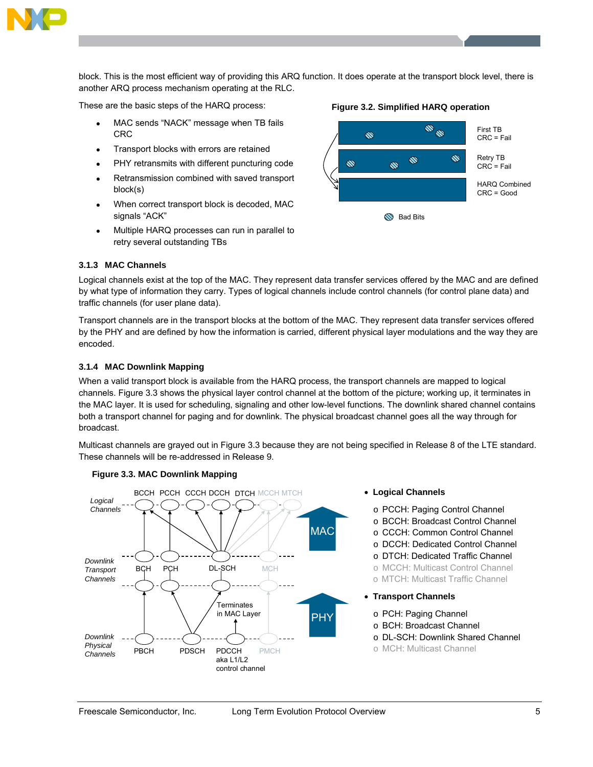

block. This is the most efficient way of providing this ARQ function. It does operate at the transport block level, there is another ARQ process mechanism operating at the RLC.

These are the basic steps of the HARQ process:

- MAC sends "NACK" message when TB fails CRC
- Transport blocks with errors are retained
- PHY retransmits with different puncturing code
- Retransmission combined with saved transport block(s)
- When correct transport block is decoded, MAC signals "ACK"
- Multiple HARQ processes can run in parallel to retry several outstanding TBs

# **Figure 3.2. Simplified HARQ operation**



#### **3.1.3 MAC Channels**

Logical channels exist at the top of the MAC. They represent data transfer services offered by the MAC and are defined by what type of information they carry. Types of logical channels include control channels (for control plane data) and traffic channels (for user plane data).

Transport channels are in the transport blocks at the bottom of the MAC. They represent data transfer services offered by the PHY and are defined by how the information is carried, different physical layer modulations and the way they are encoded

# **3.1.4 MAC Downlink Mapping**

When a valid transport block is available from the HARQ process, the transport channels are mapped to logical channels. Figure 3.3 shows the physical layer control channel at the bottom of the picture; working up, it terminates in the MAC layer. It is used for scheduling, signaling and other low-level functions. The downlink shared channel contains both a transport channel for paging and for downlink. The physical broadcast channel goes all the way through for broadcast.

Multicast channels are grayed out in Figure 3.3 because they are not being specified in Release 8 of the LTE standard. These channels will be re-addressed in Release 9.



# **Figure 3.3. MAC Downlink Mapping**

- **Logical Channels** 
	- o PCCH: Paging Control Channel
	- o BCCH: Broadcast Control Channel
	- o CCCH: Common Control Channel
	- o DCCH: Dedicated Control Channel
	- o DTCH: Dedicated Traffic Channel
	- o MCCH: Multicast Control Channel
	- o MTCH: Multicast Traffic Channel
- **Transport Channels** 
	- o PCH: Paging Channel
	- o BCH: Broadcast Channel
	- o DL-SCH: Downlink Shared Channel
	- o MCH: Multicast Channel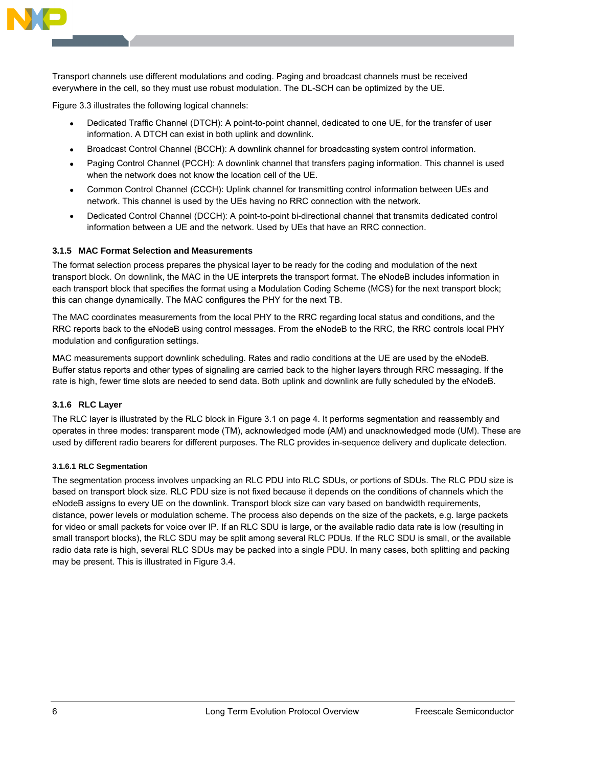

Transport channels use different modulations and coding. Paging and broadcast channels must be received everywhere in the cell, so they must use robust modulation. The DL-SCH can be optimized by the UE.

Figure 3.3 illustrates the following logical channels:

- Dedicated Traffic Channel (DTCH): A point-to-point channel, dedicated to one UE, for the transfer of user information. A DTCH can exist in both uplink and downlink.
- Broadcast Control Channel (BCCH): A downlink channel for broadcasting system control information.
- Paging Control Channel (PCCH): A downlink channel that transfers paging information. This channel is used when the network does not know the location cell of the UE.
- Common Control Channel (CCCH): Uplink channel for transmitting control information between UEs and network. This channel is used by the UEs having no RRC connection with the network.
- Dedicated Control Channel (DCCH): A point-to-point bi-directional channel that transmits dedicated control information between a UE and the network. Used by UEs that have an RRC connection.

### **3.1.5 MAC Format Selection and Measurements**

The format selection process prepares the physical layer to be ready for the coding and modulation of the next transport block. On downlink, the MAC in the UE interprets the transport format. The eNodeB includes information in each transport block that specifies the format using a Modulation Coding Scheme (MCS) for the next transport block; this can change dynamically. The MAC configures the PHY for the next TB.

The MAC coordinates measurements from the local PHY to the RRC regarding local status and conditions, and the RRC reports back to the eNodeB using control messages. From the eNodeB to the RRC, the RRC controls local PHY modulation and configuration settings.

MAC measurements support downlink scheduling. Rates and radio conditions at the UE are used by the eNodeB. Buffer status reports and other types of signaling are carried back to the higher layers through RRC messaging. If the rate is high, fewer time slots are needed to send data. Both uplink and downlink are fully scheduled by the eNodeB.

#### **3.1.6 RLC Layer**

The RLC layer is illustrated by the RLC block in Figure 3.1 on page 4. It performs segmentation and reassembly and operates in three modes: transparent mode (TM), acknowledged mode (AM) and unacknowledged mode (UM). These are used by different radio bearers for different purposes. The RLC provides in-sequence delivery and duplicate detection.

#### **3.1.6.1 RLC Segmentation**

The segmentation process involves unpacking an RLC PDU into RLC SDUs, or portions of SDUs. The RLC PDU size is based on transport block size. RLC PDU size is not fixed because it depends on the conditions of channels which the eNodeB assigns to every UE on the downlink. Transport block size can vary based on bandwidth requirements, distance, power levels or modulation scheme. The process also depends on the size of the packets, e.g. large packets for video or small packets for voice over IP. If an RLC SDU is large, or the available radio data rate is low (resulting in small transport blocks), the RLC SDU may be split among several RLC PDUs. If the RLC SDU is small, or the available radio data rate is high, several RLC SDUs may be packed into a single PDU. In many cases, both splitting and packing may be present. This is illustrated in Figure 3.4.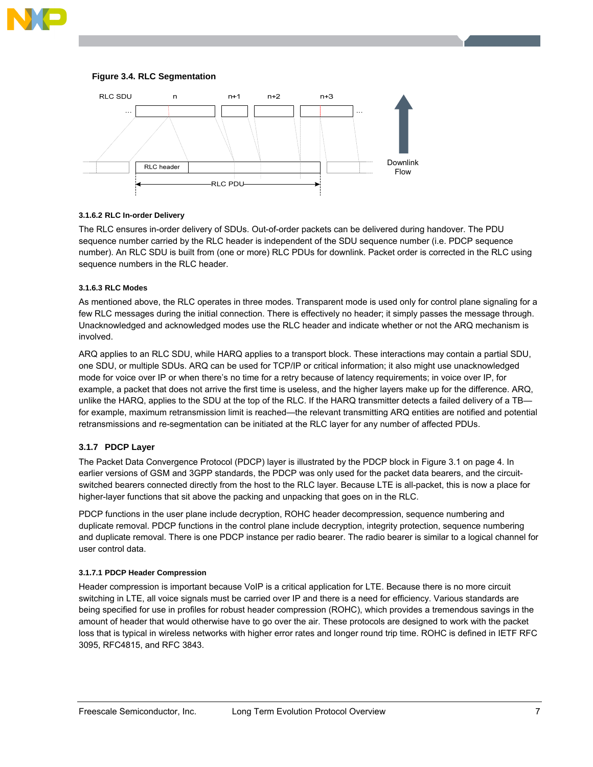





#### **3.1.6.2 RLC In-order Delivery**

The RLC ensures in-order delivery of SDUs. Out-of-order packets can be delivered during handover. The PDU sequence number carried by the RLC header is independent of the SDU sequence number (i.e. PDCP sequence number). An RLC SDU is built from (one or more) RLC PDUs for downlink. Packet order is corrected in the RLC using sequence numbers in the RLC header.

#### **3.1.6.3 RLC Modes**

As mentioned above, the RLC operates in three modes. Transparent mode is used only for control plane signaling for a few RLC messages during the initial connection. There is effectively no header; it simply passes the message through. Unacknowledged and acknowledged modes use the RLC header and indicate whether or not the ARQ mechanism is involved.

ARQ applies to an RLC SDU, while HARQ applies to a transport block. These interactions may contain a partial SDU, one SDU, or multiple SDUs. ARQ can be used for TCP/IP or critical information; it also might use unacknowledged mode for voice over IP or when there's no time for a retry because of latency requirements; in voice over IP, for example, a packet that does not arrive the first time is useless, and the higher layers make up for the difference. ARQ, unlike the HARQ, applies to the SDU at the top of the RLC. If the HARQ transmitter detects a failed delivery of a TB for example, maximum retransmission limit is reached—the relevant transmitting ARQ entities are notified and potential retransmissions and re-segmentation can be initiated at the RLC layer for any number of affected PDUs.

#### **3.1.7 PDCP Layer**

The Packet Data Convergence Protocol (PDCP) layer is illustrated by the PDCP block in Figure 3.1 on page 4. In earlier versions of GSM and 3GPP standards, the PDCP was only used for the packet data bearers, and the circuitswitched bearers connected directly from the host to the RLC layer. Because LTE is all-packet, this is now a place for higher-layer functions that sit above the packing and unpacking that goes on in the RLC.

PDCP functions in the user plane include decryption, ROHC header decompression, sequence numbering and duplicate removal. PDCP functions in the control plane include decryption, integrity protection, sequence numbering and duplicate removal. There is one PDCP instance per radio bearer. The radio bearer is similar to a logical channel for user control data.

#### **3.1.7.1 PDCP Header Compression**

Header compression is important because VoIP is a critical application for LTE. Because there is no more circuit switching in LTE, all voice signals must be carried over IP and there is a need for efficiency. Various standards are being specified for use in profiles for robust header compression (ROHC), which provides a tremendous savings in the amount of header that would otherwise have to go over the air. These protocols are designed to work with the packet loss that is typical in wireless networks with higher error rates and longer round trip time. ROHC is defined in IETF RFC 3095, RFC4815, and RFC 3843.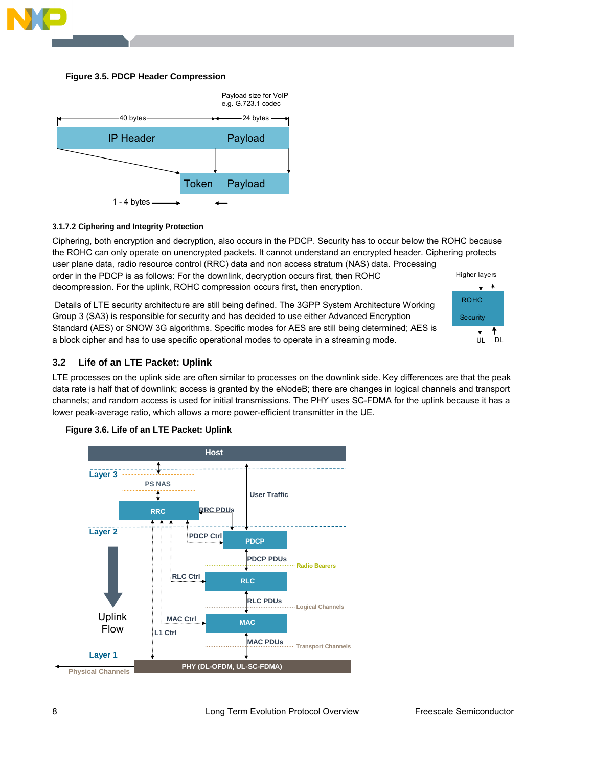

#### **Figure 3.5. PDCP Header Compression**



### **3.1.7.2 Ciphering and Integrity Protection**

Ciphering, both encryption and decryption, also occurs in the PDCP. Security has to occur below the ROHC because the ROHC can only operate on unencrypted packets. It cannot understand an encrypted header. Ciphering protects user plane data, radio resource control (RRC) data and non access stratum (NAS) data. Processing order in the PDCP is as follows: For the downlink, decryption occurs first, then ROHC Higher layers

decompression. For the uplink, ROHC compression occurs first, then encryption.

 Details of LTE security architecture are still being defined. The 3GPP System Architecture Working Group 3 (SA3) is responsible for security and has decided to use either Advanced Encryption Standard (AES) or SNOW 3G algorithms. Specific modes for AES are still being determined; AES is a block cipher and has to use specific operational modes to operate in a streaming mode.



# **3.2 Life of an LTE Packet: Uplink**

LTE processes on the uplink side are often similar to processes on the downlink side. Key differences are that the peak data rate is half that of downlink; access is granted by the eNodeB; there are changes in logical channels and transport channels; and random access is used for initial transmissions. The PHY uses SC-FDMA for the uplink because it has a lower peak-average ratio, which allows a more power-efficient transmitter in the UE.



# **Figure 3.6. Life of an LTE Packet: Uplink**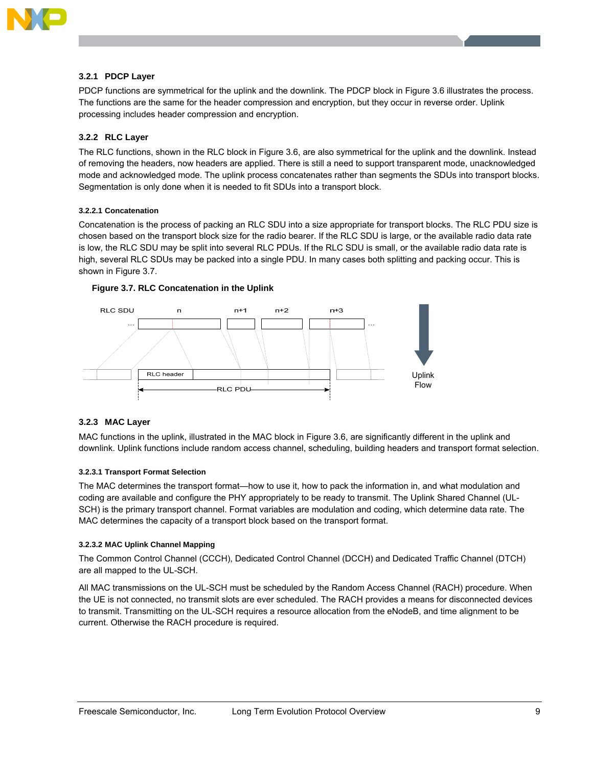

#### **3.2.1 PDCP Layer**

PDCP functions are symmetrical for the uplink and the downlink. The PDCP block in Figure 3.6 illustrates the process. The functions are the same for the header compression and encryption, but they occur in reverse order. Uplink processing includes header compression and encryption.

### **3.2.2 RLC Layer**

The RLC functions, shown in the RLC block in Figure 3.6, are also symmetrical for the uplink and the downlink. Instead of removing the headers, now headers are applied. There is still a need to support transparent mode, unacknowledged mode and acknowledged mode. The uplink process concatenates rather than segments the SDUs into transport blocks. Segmentation is only done when it is needed to fit SDUs into a transport block.

#### **3.2.2.1 Concatenation**

Concatenation is the process of packing an RLC SDU into a size appropriate for transport blocks. The RLC PDU size is chosen based on the transport block size for the radio bearer. If the RLC SDU is large, or the available radio data rate is low, the RLC SDU may be split into several RLC PDUs. If the RLC SDU is small, or the available radio data rate is high, several RLC SDUs may be packed into a single PDU. In many cases both splitting and packing occur. This is shown in Figure 3.7.



#### **Figure 3.7. RLC Concatenation in the Uplink**

#### **3.2.3 MAC Layer**

MAC functions in the uplink, illustrated in the MAC block in Figure 3.6, are significantly different in the uplink and downlink. Uplink functions include random access channel, scheduling, building headers and transport format selection.

#### **3.2.3.1 Transport Format Selection**

The MAC determines the transport format—how to use it, how to pack the information in, and what modulation and coding are available and configure the PHY appropriately to be ready to transmit. The Uplink Shared Channel (UL-SCH) is the primary transport channel. Format variables are modulation and coding, which determine data rate. The MAC determines the capacity of a transport block based on the transport format.

#### **3.2.3.2 MAC Uplink Channel Mapping**

The Common Control Channel (CCCH), Dedicated Control Channel (DCCH) and Dedicated Traffic Channel (DTCH) are all mapped to the UL-SCH.

All MAC transmissions on the UL-SCH must be scheduled by the Random Access Channel (RACH) procedure. When the UE is not connected, no transmit slots are ever scheduled. The RACH provides a means for disconnected devices to transmit. Transmitting on the UL-SCH requires a resource allocation from the eNodeB, and time alignment to be current. Otherwise the RACH procedure is required.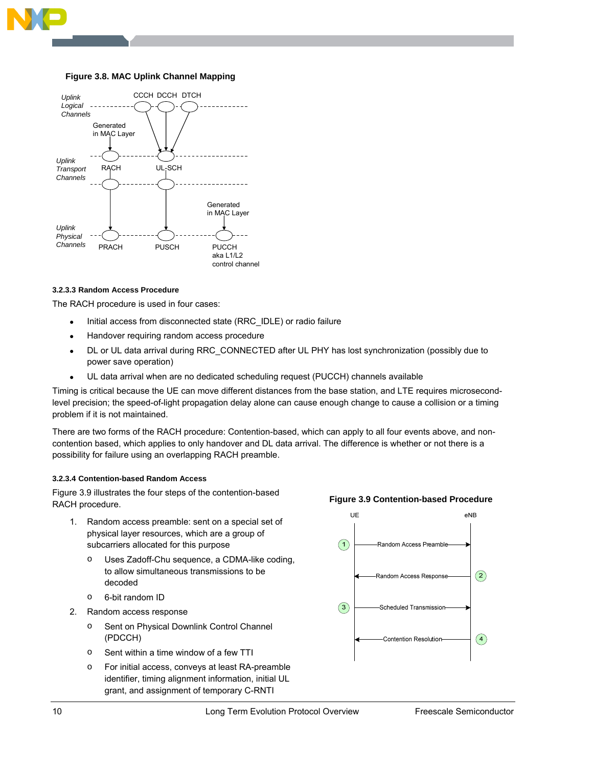

### **Figure 3.8. MAC Uplink Channel Mapping**



#### **3.2.3.3 Random Access Procedure**

The RACH procedure is used in four cases:

- Initial access from disconnected state (RRC IDLE) or radio failure
- Handover requiring random access procedure
- DL or UL data arrival during RRC\_CONNECTED after UL PHY has lost synchronization (possibly due to power save operation)
- UL data arrival when are no dedicated scheduling request (PUCCH) channels available

Timing is critical because the UE can move different distances from the base station, and LTE requires microsecondlevel precision; the speed-of-light propagation delay alone can cause enough change to cause a collision or a timing problem if it is not maintained.

There are two forms of the RACH procedure: Contention-based, which can apply to all four events above, and noncontention based, which applies to only handover and DL data arrival. The difference is whether or not there is a possibility for failure using an overlapping RACH preamble.

#### **3.2.3.4 Contention-based Random Access**

Figure 3.9 illustrates the four steps of the contention-based RACH procedure.

- 1. Random access preamble: sent on a special set of physical layer resources, which are a group of subcarriers allocated for this purpose
	- o Uses Zadoff-Chu sequence, a CDMA-like coding, to allow simultaneous transmissions to be decoded
	- o 6-bit random ID
- 2. Random access response
	- o Sent on Physical Downlink Control Channel (PDCCH)
	- o Sent within a time window of a few TTI
	- o For initial access, conveys at least RA-preamble identifier, timing alignment information, initial UL grant, and assignment of temporary C-RNTI



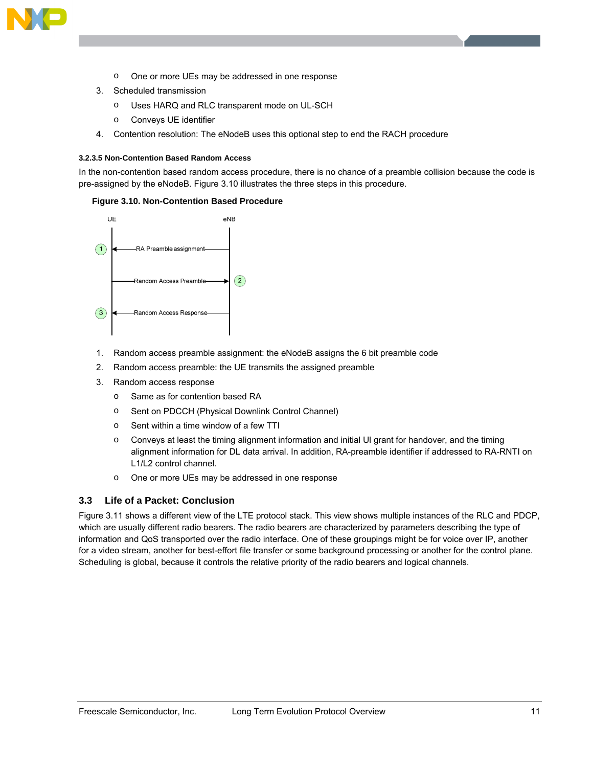

- o One or more UEs may be addressed in one response
- 3. Scheduled transmission
	- o Uses HARQ and RLC transparent mode on UL-SCH
	- o Conveys UE identifier
- 4. Contention resolution: The eNodeB uses this optional step to end the RACH procedure

#### **3.2.3.5 Non-Contention Based Random Access**

In the non-contention based random access procedure, there is no chance of a preamble collision because the code is pre-assigned by the eNodeB. Figure 3.10 illustrates the three steps in this procedure.

#### **Figure 3.10. Non-Contention Based Procedure**



- 1. Random access preamble assignment: the eNodeB assigns the 6 bit preamble code
- 2. Random access preamble: the UE transmits the assigned preamble
- 3. Random access response
	- o Same as for contention based RA
	- o Sent on PDCCH (Physical Downlink Control Channel)
	- o Sent within a time window of a few TTI
	- o Conveys at least the timing alignment information and initial Ul grant for handover, and the timing alignment information for DL data arrival. In addition, RA-preamble identifier if addressed to RA-RNTI on L1/L2 control channel.
	- o One or more UEs may be addressed in one response

# **3.3 Life of a Packet: Conclusion**

Figure 3.11 shows a different view of the LTE protocol stack. This view shows multiple instances of the RLC and PDCP, which are usually different radio bearers. The radio bearers are characterized by parameters describing the type of information and QoS transported over the radio interface. One of these groupings might be for voice over IP, another for a video stream, another for best-effort file transfer or some background processing or another for the control plane. Scheduling is global, because it controls the relative priority of the radio bearers and logical channels.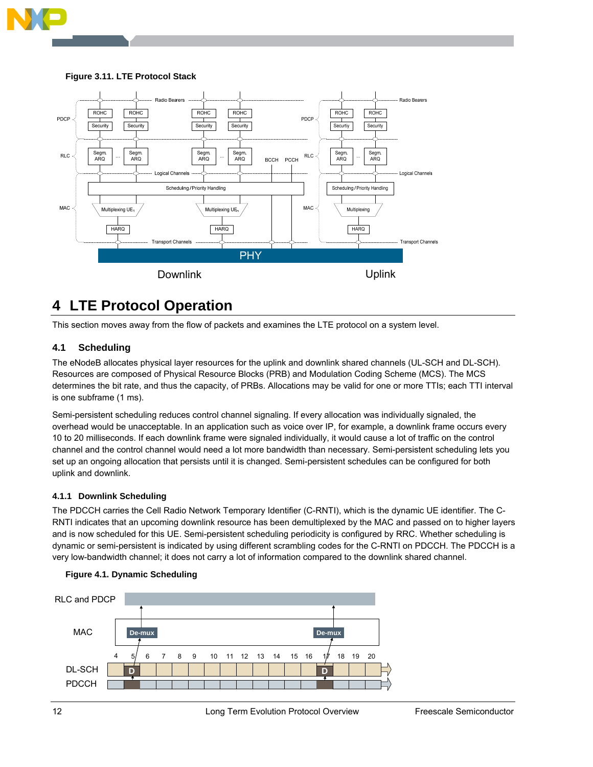

# **Figure 3.11. LTE Protocol Stack**



# **4 LTE Protocol Operation**

This section moves away from the flow of packets and examines the LTE protocol on a system level.

# **4.1 Scheduling**

The eNodeB allocates physical layer resources for the uplink and downlink shared channels (UL-SCH and DL-SCH). Resources are composed of Physical Resource Blocks (PRB) and Modulation Coding Scheme (MCS). The MCS determines the bit rate, and thus the capacity, of PRBs. Allocations may be valid for one or more TTIs; each TTI interval is one subframe (1 ms).

Semi-persistent scheduling reduces control channel signaling. If every allocation was individually signaled, the overhead would be unacceptable. In an application such as voice over IP, for example, a downlink frame occurs every 10 to 20 milliseconds. If each downlink frame were signaled individually, it would cause a lot of traffic on the control channel and the control channel would need a lot more bandwidth than necessary. Semi-persistent scheduling lets you set up an ongoing allocation that persists until it is changed. Semi-persistent schedules can be configured for both uplink and downlink.

# **4.1.1 Downlink Scheduling**

The PDCCH carries the Cell Radio Network Temporary Identifier (C-RNTI), which is the dynamic UE identifier. The C-RNTI indicates that an upcoming downlink resource has been demultiplexed by the MAC and passed on to higher layers and is now scheduled for this UE. Semi-persistent scheduling periodicity is configured by RRC. Whether scheduling is dynamic or semi-persistent is indicated by using different scrambling codes for the C-RNTI on PDCCH. The PDCCH is a very low-bandwidth channel; it does not carry a lot of information compared to the downlink shared channel.



#### **Figure 4.1. Dynamic Scheduling**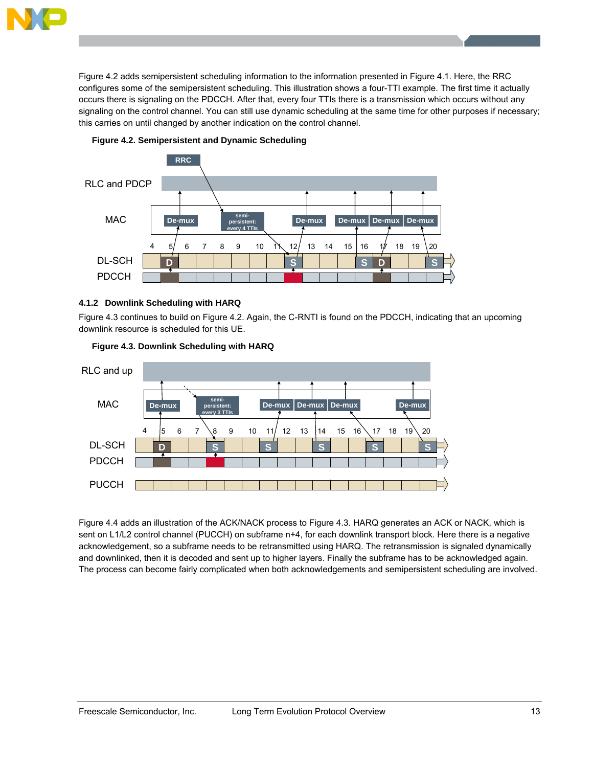

Figure 4.2 adds semipersistent scheduling information to the information presented in Figure 4.1. Here, the RRC configures some of the semipersistent scheduling. This illustration shows a four-TTI example. The first time it actually occurs there is signaling on the PDCCH. After that, every four TTIs there is a transmission which occurs without any signaling on the control channel. You can still use dynamic scheduling at the same time for other purposes if necessary; this carries on until changed by another indication on the control channel.





# **4.1.2 Downlink Scheduling with HARQ**

Figure 4.3 continues to build on Figure 4.2. Again, the C-RNTI is found on the PDCCH, indicating that an upcoming downlink resource is scheduled for this UE.



### **Figure 4.3. Downlink Scheduling with HARQ**

Figure 4.4 adds an illustration of the ACK/NACK process to Figure 4.3. HARQ generates an ACK or NACK, which is sent on L1/L2 control channel (PUCCH) on subframe n+4, for each downlink transport block. Here there is a negative acknowledgement, so a subframe needs to be retransmitted using HARQ. The retransmission is signaled dynamically and downlinked, then it is decoded and sent up to higher layers. Finally the subframe has to be acknowledged again. The process can become fairly complicated when both acknowledgements and semipersistent scheduling are involved.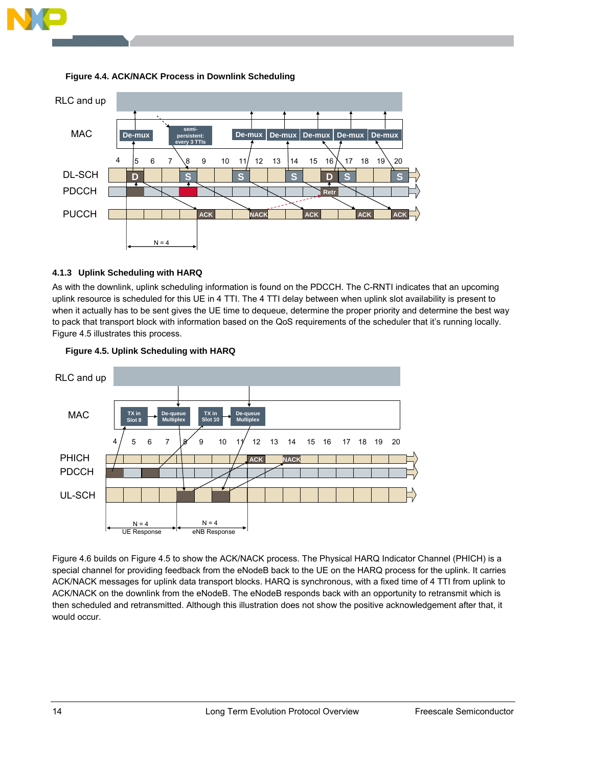



### **Figure 4.4. ACK/NACK Process in Downlink Scheduling**

### **4.1.3 Uplink Scheduling with HARQ**

As with the downlink, uplink scheduling information is found on the PDCCH. The C-RNTI indicates that an upcoming uplink resource is scheduled for this UE in 4 TTI. The 4 TTI delay between when uplink slot availability is present to when it actually has to be sent gives the UE time to dequeue, determine the proper priority and determine the best way to pack that transport block with information based on the QoS requirements of the scheduler that it's running locally. Figure 4.5 illustrates this process.





Figure 4.6 builds on Figure 4.5 to show the ACK/NACK process. The Physical HARQ Indicator Channel (PHICH) is a special channel for providing feedback from the eNodeB back to the UE on the HARQ process for the uplink. It carries ACK/NACK messages for uplink data transport blocks. HARQ is synchronous, with a fixed time of 4 TTI from uplink to ACK/NACK on the downlink from the eNodeB. The eNodeB responds back with an opportunity to retransmit which is then scheduled and retransmitted. Although this illustration does not show the positive acknowledgement after that, it would occur.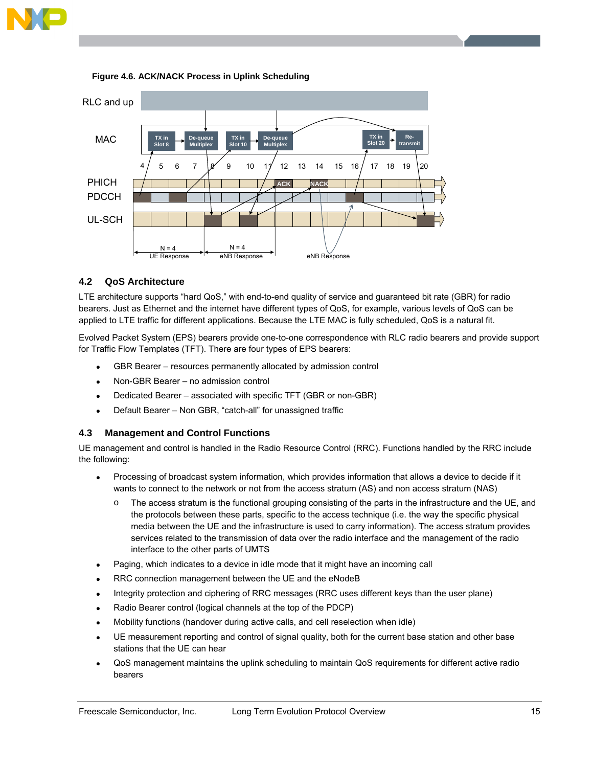



#### **Figure 4.6. ACK/NACK Process in Uplink Scheduling**

# **4.2 QoS Architecture**

LTE architecture supports "hard QoS," with end-to-end quality of service and guaranteed bit rate (GBR) for radio bearers. Just as Ethernet and the internet have different types of QoS, for example, various levels of QoS can be applied to LTE traffic for different applications. Because the LTE MAC is fully scheduled, QoS is a natural fit.

Evolved Packet System (EPS) bearers provide one-to-one correspondence with RLC radio bearers and provide support for Traffic Flow Templates (TFT). There are four types of EPS bearers:

- GBR Bearer resources permanently allocated by admission control
- Non-GBR Bearer no admission control
- Dedicated Bearer associated with specific TFT (GBR or non-GBR)
- Default Bearer Non GBR, "catch-all" for unassigned traffic

# **4.3 Management and Control Functions**

UE management and control is handled in the Radio Resource Control (RRC). Functions handled by the RRC include the following:

- Processing of broadcast system information, which provides information that allows a device to decide if it wants to connect to the network or not from the access stratum (AS) and non access stratum (NAS)
	- The access stratum is the functional grouping consisting of the parts in the infrastructure and the UE, and the protocols between these parts, specific to the access technique (i.e. the way the specific physical media between the UE and the infrastructure is used to carry information). The access stratum provides services related to the transmission of data over the radio interface and the management of the radio interface to the other parts of UMTS
- Paging, which indicates to a device in idle mode that it might have an incoming call
- RRC connection management between the UE and the eNodeB
- Integrity protection and ciphering of RRC messages (RRC uses different keys than the user plane)
- Radio Bearer control (logical channels at the top of the PDCP)
- Mobility functions (handover during active calls, and cell reselection when idle)
- UE measurement reporting and control of signal quality, both for the current base station and other base stations that the UE can hear
- QoS management maintains the uplink scheduling to maintain QoS requirements for different active radio bearers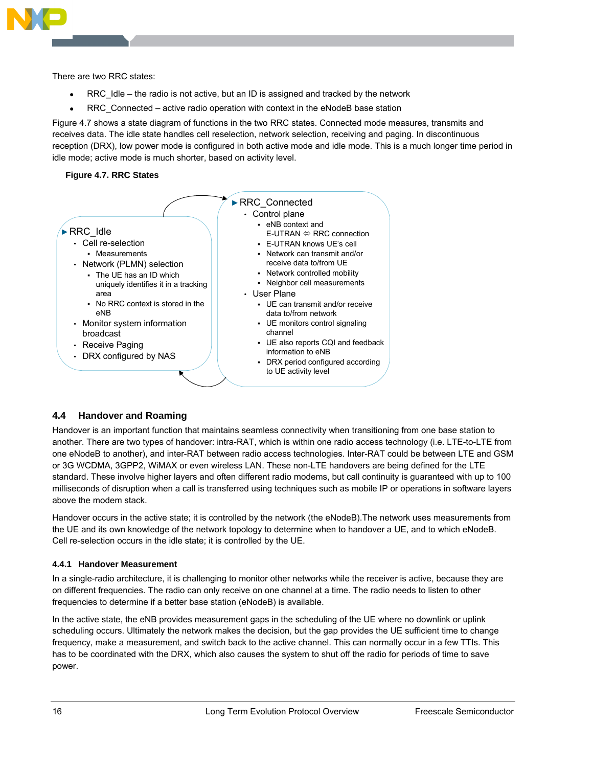

There are two RRC states:

- RRC  $Id$ le the radio is not active, but an ID is assigned and tracked by the network
- RRC Connected active radio operation with context in the eNodeB base station

Figure 4.7 shows a state diagram of functions in the two RRC states. Connected mode measures, transmits and receives data. The idle state handles cell reselection, network selection, receiving and paging. In discontinuous reception (DRX), low power mode is configured in both active mode and idle mode. This is a much longer time period in idle mode; active mode is much shorter, based on activity level.

### **Figure 4.7. RRC States**



# **4.4 Handover and Roaming**

Handover is an important function that maintains seamless connectivity when transitioning from one base station to another. There are two types of handover: intra-RAT, which is within one radio access technology (i.e. LTE-to-LTE from one eNodeB to another), and inter-RAT between radio access technologies. Inter-RAT could be between LTE and GSM or 3G WCDMA, 3GPP2, WiMAX or even wireless LAN. These non-LTE handovers are being defined for the LTE standard. These involve higher layers and often different radio modems, but call continuity is guaranteed with up to 100 milliseconds of disruption when a call is transferred using techniques such as mobile IP or operations in software layers above the modem stack.

Handover occurs in the active state; it is controlled by the network (the eNodeB).The network uses measurements from the UE and its own knowledge of the network topology to determine when to handover a UE, and to which eNodeB. Cell re-selection occurs in the idle state; it is controlled by the UE.

#### **4.4.1 Handover Measurement**

In a single-radio architecture, it is challenging to monitor other networks while the receiver is active, because they are on different frequencies. The radio can only receive on one channel at a time. The radio needs to listen to other frequencies to determine if a better base station (eNodeB) is available.

In the active state, the eNB provides measurement gaps in the scheduling of the UE where no downlink or uplink scheduling occurs. Ultimately the network makes the decision, but the gap provides the UE sufficient time to change frequency, make a measurement, and switch back to the active channel. This can normally occur in a few TTIs. This has to be coordinated with the DRX, which also causes the system to shut off the radio for periods of time to save power.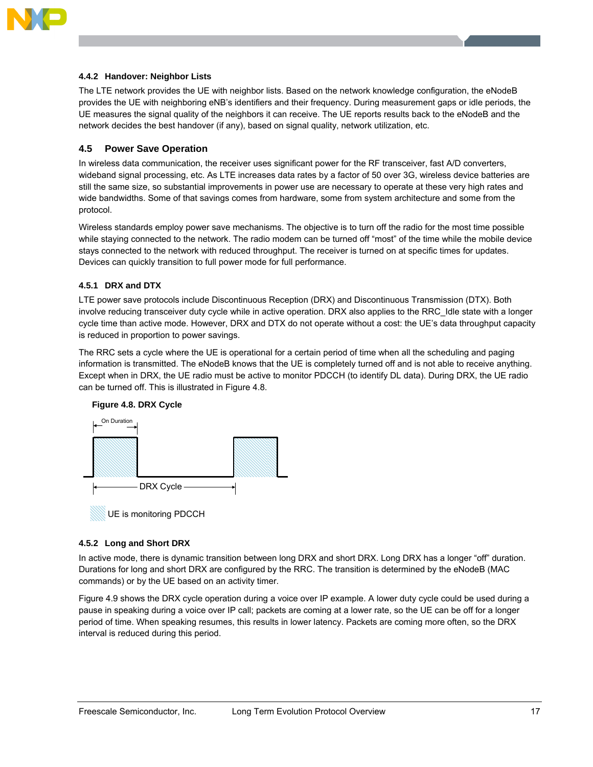

#### **4.4.2 Handover: Neighbor Lists**

The LTE network provides the UE with neighbor lists. Based on the network knowledge configuration, the eNodeB provides the UE with neighboring eNB's identifiers and their frequency. During measurement gaps or idle periods, the UE measures the signal quality of the neighbors it can receive. The UE reports results back to the eNodeB and the network decides the best handover (if any), based on signal quality, network utilization, etc.

### **4.5 Power Save Operation**

In wireless data communication, the receiver uses significant power for the RF transceiver, fast A/D converters, wideband signal processing, etc. As LTE increases data rates by a factor of 50 over 3G, wireless device batteries are still the same size, so substantial improvements in power use are necessary to operate at these very high rates and wide bandwidths. Some of that savings comes from hardware, some from system architecture and some from the protocol.

Wireless standards employ power save mechanisms. The objective is to turn off the radio for the most time possible while staying connected to the network. The radio modem can be turned off "most" of the time while the mobile device stays connected to the network with reduced throughput. The receiver is turned on at specific times for updates. Devices can quickly transition to full power mode for full performance.

### **4.5.1 DRX and DTX**

LTE power save protocols include Discontinuous Reception (DRX) and Discontinuous Transmission (DTX). Both involve reducing transceiver duty cycle while in active operation. DRX also applies to the RRC\_Idle state with a longer cycle time than active mode. However, DRX and DTX do not operate without a cost: the UE's data throughput capacity is reduced in proportion to power savings.

The RRC sets a cycle where the UE is operational for a certain period of time when all the scheduling and paging information is transmitted. The eNodeB knows that the UE is completely turned off and is not able to receive anything. Except when in DRX, the UE radio must be active to monitor PDCCH (to identify DL data). During DRX, the UE radio can be turned off. This is illustrated in Figure 4.8.



# **Figure 4.8. DRX Cycle**

#### **4.5.2 Long and Short DRX**

In active mode, there is dynamic transition between long DRX and short DRX. Long DRX has a longer "off" duration. Durations for long and short DRX are configured by the RRC. The transition is determined by the eNodeB (MAC commands) or by the UE based on an activity timer.

Figure 4.9 shows the DRX cycle operation during a voice over IP example. A lower duty cycle could be used during a pause in speaking during a voice over IP call; packets are coming at a lower rate, so the UE can be off for a longer period of time. When speaking resumes, this results in lower latency. Packets are coming more often, so the DRX interval is reduced during this period.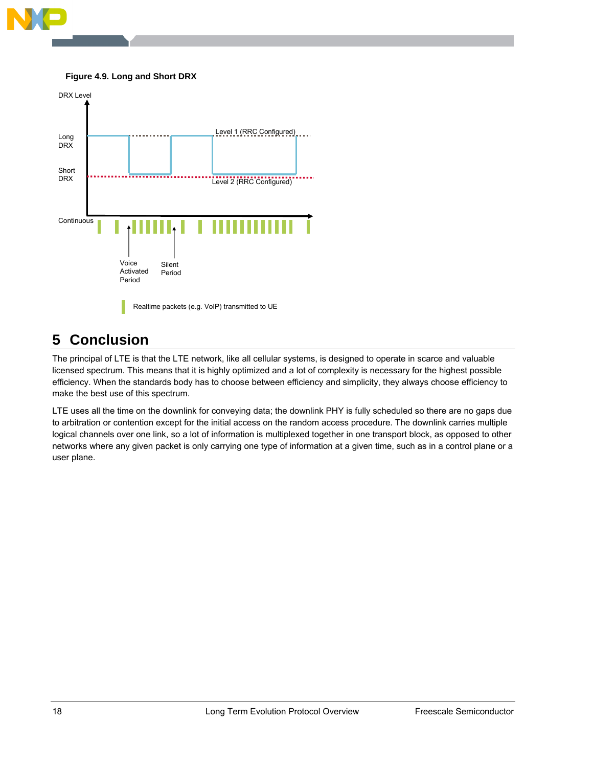

### **Figure 4.9. Long and Short DRX**



# **5 Conclusion**

The principal of LTE is that the LTE network, like all cellular systems, is designed to operate in scarce and valuable licensed spectrum. This means that it is highly optimized and a lot of complexity is necessary for the highest possible efficiency. When the standards body has to choose between efficiency and simplicity, they always choose efficiency to make the best use of this spectrum.

LTE uses all the time on the downlink for conveying data; the downlink PHY is fully scheduled so there are no gaps due to arbitration or contention except for the initial access on the random access procedure. The downlink carries multiple logical channels over one link, so a lot of information is multiplexed together in one transport block, as opposed to other networks where any given packet is only carrying one type of information at a given time, such as in a control plane or a user plane.